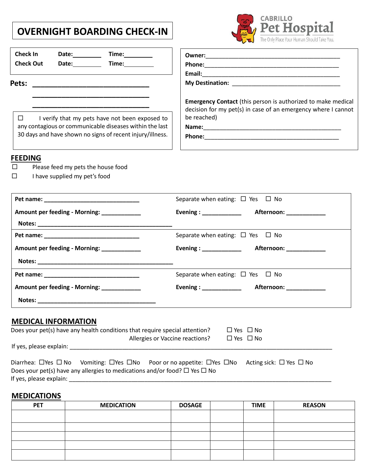## **OVERNIGHT BOARDING CHECK-IN**



| Check In<br>Date: Time: 1<br><b>Check Out</b><br>Date: Time:                                                                                                                                                                   |                                                                                                                                                     |
|--------------------------------------------------------------------------------------------------------------------------------------------------------------------------------------------------------------------------------|-----------------------------------------------------------------------------------------------------------------------------------------------------|
| Pets:                                                                                                                                                                                                                          |                                                                                                                                                     |
| I verify that my pets have not been exposed to<br>$\Box$<br>any contagious or communicable diseases within the last<br>30 days and have shown no signs of recent injury/illness.                                               | <b>Emergency Contact</b> (this person is authorized to make medical<br>decision for my pet(s) in case of an emergency where I cannot<br>be reached) |
| <b>FEEDING</b><br>Please feed my pets the house food<br>$\Box$<br>I have supplied my pet's food<br>□                                                                                                                           |                                                                                                                                                     |
| Pet name: Note and the series of the series of the series of the series of the series of the series of the series of the series of the series of the series of the series of the series of the series of the series of the ser | Separate when eating: $\Box$ Yes $\Box$ No                                                                                                          |
| Amount per feeding - Morning: ___________                                                                                                                                                                                      | Evening : ______________<br>Afternoon: _____________                                                                                                |
|                                                                                                                                                                                                                                | Separate when eating: $\Box$ Yes $\Box$ No                                                                                                          |
| Amount per feeding - Morning: ___________                                                                                                                                                                                      | Evening : _____________<br>Afternoon: _____________                                                                                                 |
|                                                                                                                                                                                                                                |                                                                                                                                                     |
|                                                                                                                                                                                                                                | Separate when eating: $\Box$ Yes $\Box$ No                                                                                                          |
| Amount per feeding - Morning: ____________                                                                                                                                                                                     | <b>Evening : ______________</b><br>Afternoon: ____________                                                                                          |
|                                                                                                                                                                                                                                |                                                                                                                                                     |
| <b>MEDICAL INFORMATION</b><br>Does your pet(s) have any health conditions that require special attention?<br>Allergies or Vaccine reactions?                                                                                   | $\Box$ Yes $\Box$ No<br>$\Box$ Yes $\Box$ No                                                                                                        |
| Diarrhea: $\Box$ Yes $\Box$ No<br>Does your pet(s) have any allergies to medications and/or food? $\Box$ Yes $\Box$ No                                                                                                         | Vomiting: $\Box$ Yes $\Box$ No Poor or no appetite: $\Box$ Yes $\Box$ No Acting sick: $\Box$ Yes $\Box$ No                                          |
| <b>MEDICATIONS</b>                                                                                                                                                                                                             |                                                                                                                                                     |

| <b>PET</b> | <b>MEDICATION</b> | <b>DOSAGE</b> | <b>TIME</b> | <b>REASON</b> |
|------------|-------------------|---------------|-------------|---------------|
|            |                   |               |             |               |
|            |                   |               |             |               |
|            |                   |               |             |               |
|            |                   |               |             |               |
|            |                   |               |             |               |